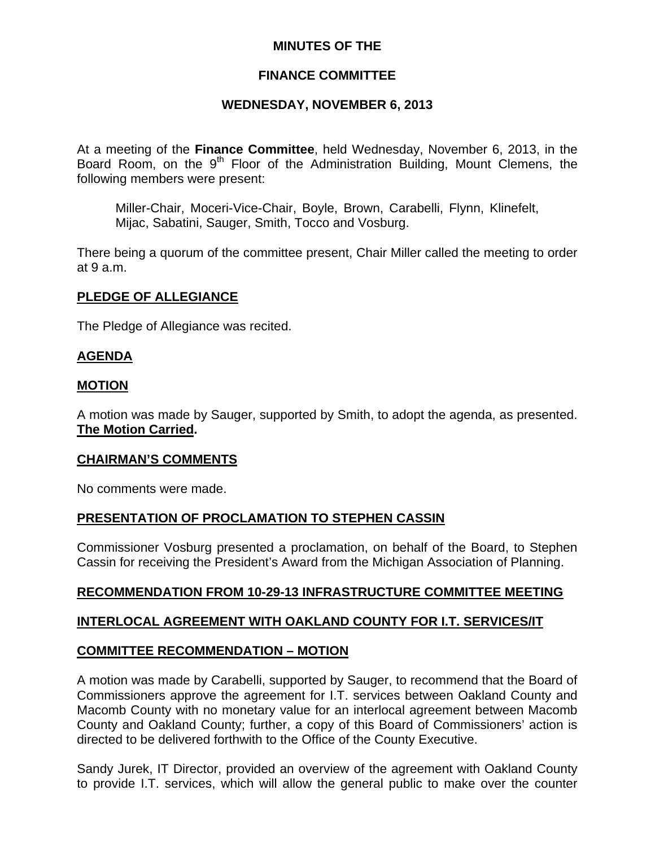# **MINUTES OF THE**

# **FINANCE COMMITTEE**

# **WEDNESDAY, NOVEMBER 6, 2013**

At a meeting of the **Finance Committee**, held Wednesday, November 6, 2013, in the Board Room, on the 9<sup>th</sup> Floor of the Administration Building, Mount Clemens, the following members were present:

Miller-Chair, Moceri-Vice-Chair, Boyle, Brown, Carabelli, Flynn, Klinefelt, Mijac, Sabatini, Sauger, Smith, Tocco and Vosburg.

There being a quorum of the committee present, Chair Miller called the meeting to order at 9 a.m.

#### **PLEDGE OF ALLEGIANCE**

The Pledge of Allegiance was recited.

#### **AGENDA**

#### **MOTION**

A motion was made by Sauger, supported by Smith, to adopt the agenda, as presented. **The Motion Carried.** 

#### **CHAIRMAN'S COMMENTS**

No comments were made.

# **PRESENTATION OF PROCLAMATION TO STEPHEN CASSIN**

Commissioner Vosburg presented a proclamation, on behalf of the Board, to Stephen Cassin for receiving the President's Award from the Michigan Association of Planning.

# **RECOMMENDATION FROM 10-29-13 INFRASTRUCTURE COMMITTEE MEETING**

# **INTERLOCAL AGREEMENT WITH OAKLAND COUNTY FOR I.T. SERVICES/IT**

# **COMMITTEE RECOMMENDATION – MOTION**

A motion was made by Carabelli, supported by Sauger, to recommend that the Board of Commissioners approve the agreement for I.T. services between Oakland County and Macomb County with no monetary value for an interlocal agreement between Macomb County and Oakland County; further, a copy of this Board of Commissioners' action is directed to be delivered forthwith to the Office of the County Executive.

Sandy Jurek, IT Director, provided an overview of the agreement with Oakland County to provide I.T. services, which will allow the general public to make over the counter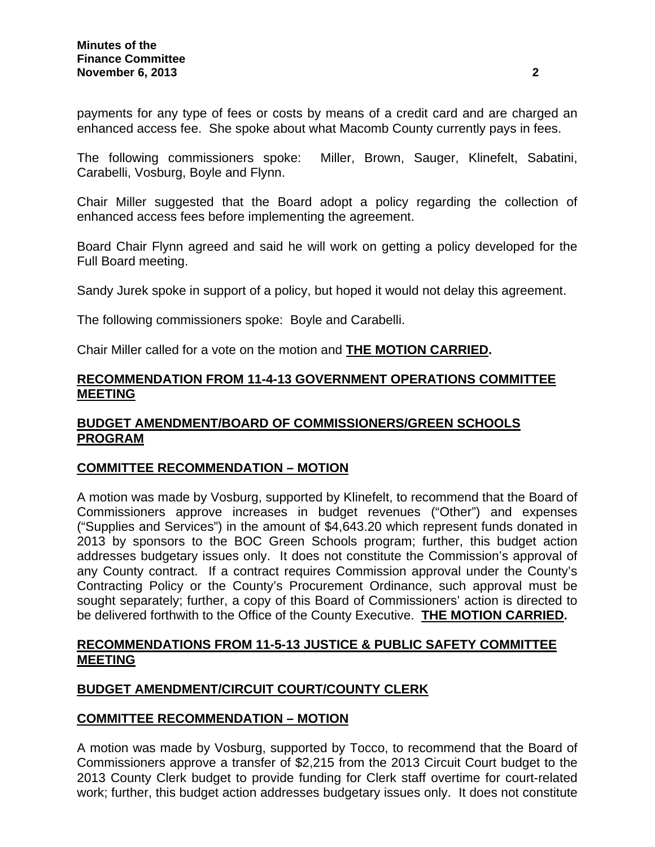payments for any type of fees or costs by means of a credit card and are charged an enhanced access fee. She spoke about what Macomb County currently pays in fees.

The following commissioners spoke: Miller, Brown, Sauger, Klinefelt, Sabatini, Carabelli, Vosburg, Boyle and Flynn.

Chair Miller suggested that the Board adopt a policy regarding the collection of enhanced access fees before implementing the agreement.

Board Chair Flynn agreed and said he will work on getting a policy developed for the Full Board meeting.

Sandy Jurek spoke in support of a policy, but hoped it would not delay this agreement.

The following commissioners spoke: Boyle and Carabelli.

Chair Miller called for a vote on the motion and **THE MOTION CARRIED.**

#### **RECOMMENDATION FROM 11-4-13 GOVERNMENT OPERATIONS COMMITTEE MEETING**

# **BUDGET AMENDMENT/BOARD OF COMMISSIONERS/GREEN SCHOOLS PROGRAM**

# **COMMITTEE RECOMMENDATION – MOTION**

A motion was made by Vosburg, supported by Klinefelt, to recommend that the Board of Commissioners approve increases in budget revenues ("Other") and expenses ("Supplies and Services") in the amount of \$4,643.20 which represent funds donated in 2013 by sponsors to the BOC Green Schools program; further, this budget action addresses budgetary issues only. It does not constitute the Commission's approval of any County contract. If a contract requires Commission approval under the County's Contracting Policy or the County's Procurement Ordinance, such approval must be sought separately; further, a copy of this Board of Commissioners' action is directed to be delivered forthwith to the Office of the County Executive. **THE MOTION CARRIED.**

# **RECOMMENDATIONS FROM 11-5-13 JUSTICE & PUBLIC SAFETY COMMITTEE MEETING**

# **BUDGET AMENDMENT/CIRCUIT COURT/COUNTY CLERK**

# **COMMITTEE RECOMMENDATION – MOTION**

A motion was made by Vosburg, supported by Tocco, to recommend that the Board of Commissioners approve a transfer of \$2,215 from the 2013 Circuit Court budget to the 2013 County Clerk budget to provide funding for Clerk staff overtime for court-related work; further, this budget action addresses budgetary issues only. It does not constitute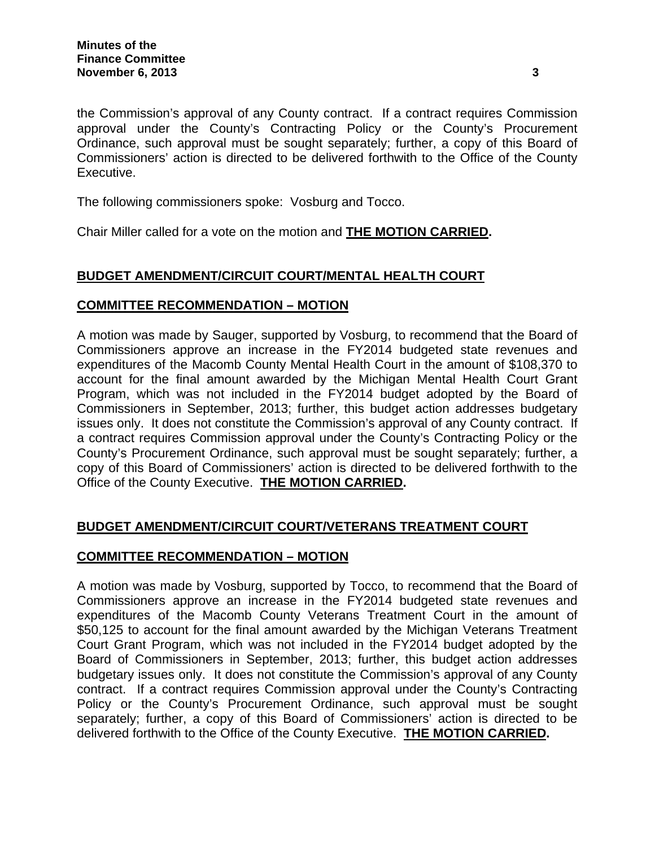the Commission's approval of any County contract. If a contract requires Commission approval under the County's Contracting Policy or the County's Procurement Ordinance, such approval must be sought separately; further, a copy of this Board of Commissioners' action is directed to be delivered forthwith to the Office of the County Executive.

The following commissioners spoke: Vosburg and Tocco.

Chair Miller called for a vote on the motion and **THE MOTION CARRIED.**

# **BUDGET AMENDMENT/CIRCUIT COURT/MENTAL HEALTH COURT**

#### **COMMITTEE RECOMMENDATION – MOTION**

A motion was made by Sauger, supported by Vosburg, to recommend that the Board of Commissioners approve an increase in the FY2014 budgeted state revenues and expenditures of the Macomb County Mental Health Court in the amount of \$108,370 to account for the final amount awarded by the Michigan Mental Health Court Grant Program, which was not included in the FY2014 budget adopted by the Board of Commissioners in September, 2013; further, this budget action addresses budgetary issues only. It does not constitute the Commission's approval of any County contract. If a contract requires Commission approval under the County's Contracting Policy or the County's Procurement Ordinance, such approval must be sought separately; further, a copy of this Board of Commissioners' action is directed to be delivered forthwith to the Office of the County Executive. **THE MOTION CARRIED.**

# **BUDGET AMENDMENT/CIRCUIT COURT/VETERANS TREATMENT COURT**

#### **COMMITTEE RECOMMENDATION – MOTION**

A motion was made by Vosburg, supported by Tocco, to recommend that the Board of Commissioners approve an increase in the FY2014 budgeted state revenues and expenditures of the Macomb County Veterans Treatment Court in the amount of \$50,125 to account for the final amount awarded by the Michigan Veterans Treatment Court Grant Program, which was not included in the FY2014 budget adopted by the Board of Commissioners in September, 2013; further, this budget action addresses budgetary issues only. It does not constitute the Commission's approval of any County contract. If a contract requires Commission approval under the County's Contracting Policy or the County's Procurement Ordinance, such approval must be sought separately; further, a copy of this Board of Commissioners' action is directed to be delivered forthwith to the Office of the County Executive. **THE MOTION CARRIED.**